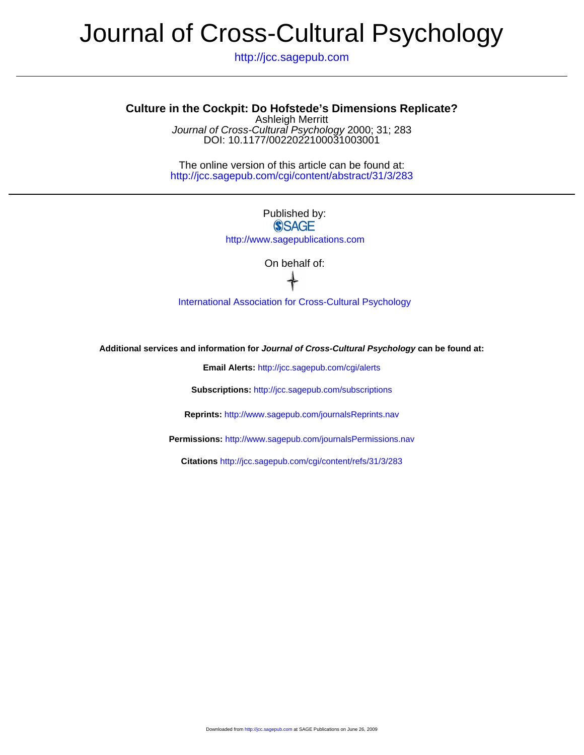# Journal of Cross-Cultural Psychology

http://jcc.sagepub.com

# **Culture in the Cockpit: Do Hofstede's Dimensions Replicate?**

DOI: 10.1177/0022022100031003001 Journal of Cross-Cultural Psychology 2000; 31; 283 Ashleigh Merritt

http://jcc.sagepub.com/cgi/content/abstract/31/3/283 The online version of this article can be found at:

> Published by: **SSAGE**

http://www.sagepublications.com

On behalf of:

[International Association for Cross-Cultural Psychology](http://www.iaccp.org/)

**Additional services and information for Journal of Cross-Cultural Psychology can be found at:**

**Email Alerts:** <http://jcc.sagepub.com/cgi/alerts>

**Subscriptions:** <http://jcc.sagepub.com/subscriptions>

**Reprints:** <http://www.sagepub.com/journalsReprints.nav>

**Permissions:** <http://www.sagepub.com/journalsPermissions.nav>

**Citations** <http://jcc.sagepub.com/cgi/content/refs/31/3/283>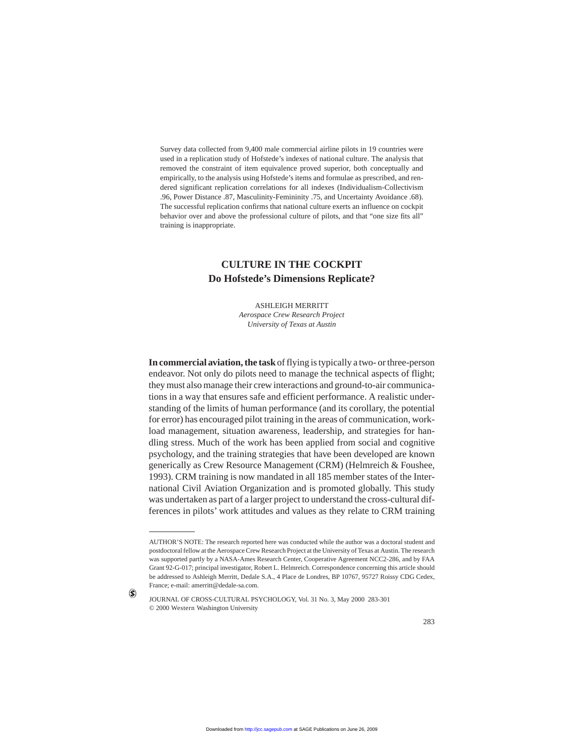Survey data collected from 9,400 male commercial airline pilots in 19 countries were used in a replication study of Hofstede's indexes of national culture. The analysis that removed the constraint of item equivalence proved superior, both conceptually and empirically, to the analysis using Hofstede's items and formulae as prescribed, and rendered significant replication correlations for all indexes (Individualism-Collectivism .96, Power Distance .87, Masculinity-Femininity .75, and Uncertainty Avoidance .68). The successful replication confirms that national culture exerts an influence on cockpit behavior over and above the professional culture of pilots, and that "one size fits all" training is inappropriate.

# **CULTURE IN THE COCKPIT Do Hofstede's Dimensions Replicate?**

ASHLEIGH MERRITT *Aerospace Crew Research Project University of Texas at Austin*

**In commercial aviation, the task** of flying is typically a two- or three-person endeavor. Not only do pilots need to manage the technical aspects of flight; they must also manage their crew interactions and ground-to-air communications in a way that ensures safe and efficient performance. A realistic understanding of the limits of human performance (and its corollary, the potential for error) has encouraged pilot training in the areas of communication, workload management, situation awareness, leadership, and strategies for handling stress. Much of the work has been applied from social and cognitive psychology, and the training strategies that have been developed are known generically as Crew Resource Management (CRM) (Helmreich & Foushee, 1993). CRM training is now mandated in all 185 member states of the International Civil Aviation Organization and is promoted globally. This study was undertaken as part of a larger project to understand the cross-cultural differences in pilots' work attitudes and values as they relate to CRM training

⊛

AUTHOR'S NOTE: The research reported here was conducted while the author was a doctoral student and postdoctoral fellow at the Aerospace Crew Research Project at the University of Texas at Austin. The research was supported partly by a NASA-Ames Research Center, Cooperative Agreement NCC2-286, and by FAA Grant 92-G-017; principal investigator, Robert L. Helmreich. Correspondence concerning this article should be addressed to Ashleigh Merritt, Dedale S.A., 4 Place de Londres, BP 10767, 95727 Roissy CDG Cedex, France; e-mail: amerritt@dedale-sa.com.

JOURNAL OF CROSS-CULTURAL PSYCHOLOGY, Vol. 31 No. 3, May 2000 283-301 © 2000 Western Washington University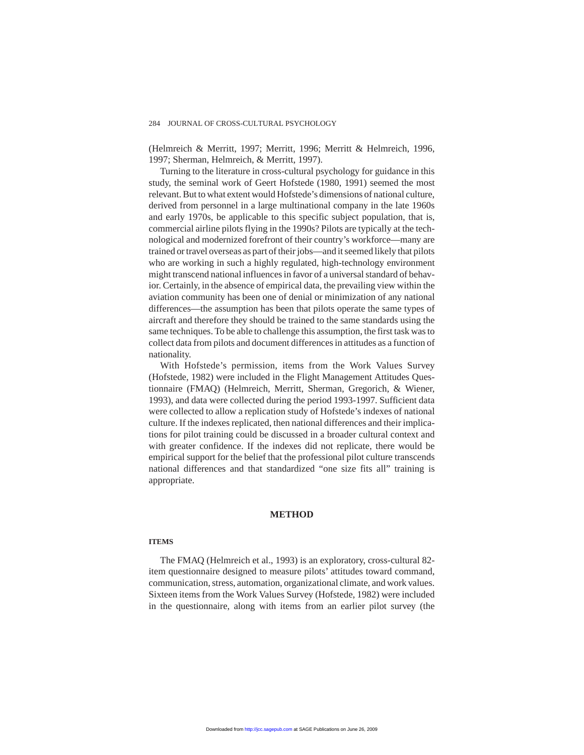(Helmreich & Merritt, 1997; Merritt, 1996; Merritt & Helmreich, 1996, 1997; Sherman, Helmreich, & Merritt, 1997).

Turning to the literature in cross-cultural psychology for guidance in this study, the seminal work of Geert Hofstede (1980, 1991) seemed the most relevant. But to what extent would Hofstede's dimensions of national culture, derived from personnel in a large multinational company in the late 1960s and early 1970s, be applicable to this specific subject population, that is, commercial airline pilots flying in the 1990s? Pilots are typically at the technological and modernized forefront of their country's workforce—many are trained or travel overseas as part of their jobs—and it seemed likely that pilots who are working in such a highly regulated, high-technology environment might transcend national influences in favor of a universal standard of behavior. Certainly, in the absence of empirical data, the prevailing view within the aviation community has been one of denial or minimization of any national differences—the assumption has been that pilots operate the same types of aircraft and therefore they should be trained to the same standards using the same techniques. To be able to challenge this assumption, the first task was to collect data from pilots and document differences in attitudes as a function of nationality.

With Hofstede's permission, items from the Work Values Survey (Hofstede, 1982) were included in the Flight Management Attitudes Questionnaire (FMAQ) (Helmreich, Merritt, Sherman, Gregorich, & Wiener, 1993), and data were collected during the period 1993-1997. Sufficient data were collected to allow a replication study of Hofstede's indexes of national culture. If the indexes replicated, then national differences and their implications for pilot training could be discussed in a broader cultural context and with greater confidence. If the indexes did not replicate, there would be empirical support for the belief that the professional pilot culture transcends national differences and that standardized "one size fits all" training is appropriate.

# **METHOD**

# **ITEMS**

The FMAQ (Helmreich et al., 1993) is an exploratory, cross-cultural 82 item questionnaire designed to measure pilots' attitudes toward command, communication, stress, automation, organizational climate, and work values. Sixteen items from the Work Values Survey (Hofstede, 1982) were included in the questionnaire, along with items from an earlier pilot survey (the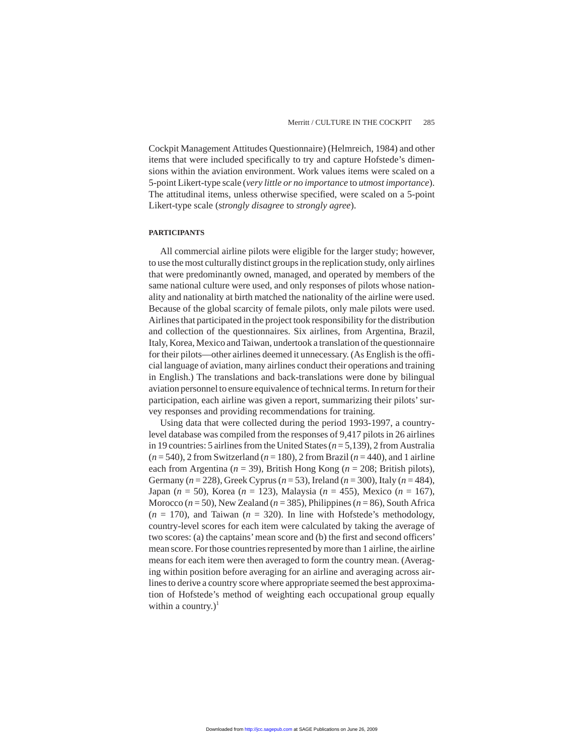Cockpit Management Attitudes Questionnaire) (Helmreich, 1984) and other items that were included specifically to try and capture Hofstede's dimensions within the aviation environment. Work values items were scaled on a 5-point Likert-type scale (*very little or no importance* to *utmost importance*). The attitudinal items, unless otherwise specified, were scaled on a 5-point Likert-type scale (*strongly disagree* to *strongly agree*).

# **PARTICIPANTS**

All commercial airline pilots were eligible for the larger study; however, to use the most culturally distinct groups in the replication study, only airlines that were predominantly owned, managed, and operated by members of the same national culture were used, and only responses of pilots whose nationality and nationality at birth matched the nationality of the airline were used. Because of the global scarcity of female pilots, only male pilots were used. Airlines that participated in the project took responsibility for the distribution and collection of the questionnaires. Six airlines, from Argentina, Brazil, Italy, Korea, Mexico and Taiwan, undertook a translation of the questionnaire for their pilots—other airlines deemed it unnecessary. (As English is the official language of aviation, many airlines conduct their operations and training in English.) The translations and back-translations were done by bilingual aviation personnel to ensure equivalence of technical terms. In return for their participation, each airline was given a report, summarizing their pilots' survey responses and providing recommendations for training.

Using data that were collected during the period 1993-1997, a countrylevel database was compiled from the responses of 9,417 pilots in 26 airlines in 19 countries: 5 airlines from the United States (*n* = 5,139), 2 from Australia (*n* = 540), 2 from Switzerland (*n* = 180), 2 from Brazil (*n* = 440), and 1 airline each from Argentina (*n* = 39), British Hong Kong (*n* = 208; British pilots), Germany (*n* = 228), Greek Cyprus (*n* = 53), Ireland (*n* = 300), Italy (*n* = 484), Japan (*n* = 50), Korea (*n* = 123), Malaysia (*n* = 455), Mexico (*n* = 167), Morocco ( $n = 50$ ), New Zealand ( $n = 385$ ), Philippines ( $n = 86$ ), South Africa  $(n = 170)$ , and Taiwan  $(n = 320)$ . In line with Hofstede's methodology, country-level scores for each item were calculated by taking the average of two scores: (a) the captains' mean score and (b) the first and second officers' mean score. For those countries represented by more than 1 airline, the airline means for each item were then averaged to form the country mean. (Averaging within position before averaging for an airline and averaging across airlines to derive a country score where appropriate seemed the best approximation of Hofstede's method of weighting each occupational group equally within a country.) $\frac{1}{1}$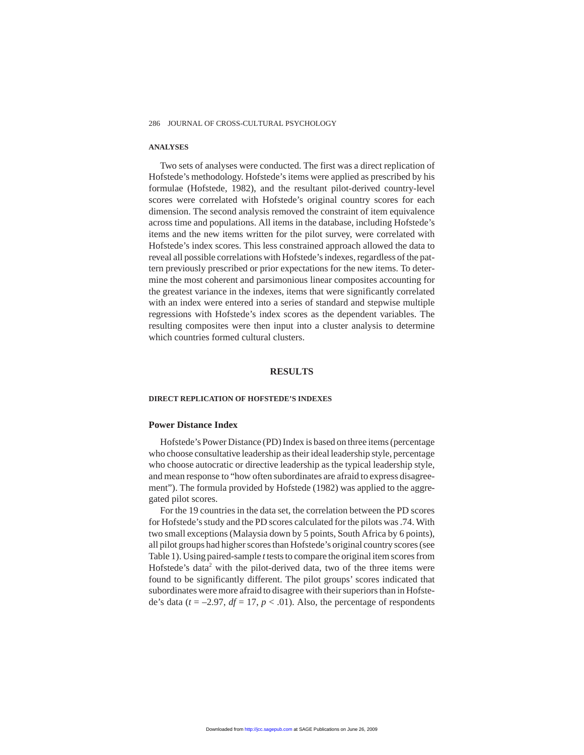# **ANALYSES**

Two sets of analyses were conducted. The first was a direct replication of Hofstede's methodology. Hofstede's items were applied as prescribed by his formulae (Hofstede, 1982), and the resultant pilot-derived country-level scores were correlated with Hofstede's original country scores for each dimension. The second analysis removed the constraint of item equivalence across time and populations. All items in the database, including Hofstede's items and the new items written for the pilot survey, were correlated with Hofstede's index scores. This less constrained approach allowed the data to reveal all possible correlations with Hofstede's indexes, regardless of the pattern previously prescribed or prior expectations for the new items. To determine the most coherent and parsimonious linear composites accounting for the greatest variance in the indexes, items that were significantly correlated with an index were entered into a series of standard and stepwise multiple regressions with Hofstede's index scores as the dependent variables. The resulting composites were then input into a cluster analysis to determine which countries formed cultural clusters.

# **RESULTS**

# **DIRECT REPLICATION OF HOFSTEDE'S INDEXES**

# **Power Distance Index**

Hofstede's Power Distance (PD) Index is based on three items (percentage who choose consultative leadership as their ideal leadership style, percentage who choose autocratic or directive leadership as the typical leadership style, and mean response to "how often subordinates are afraid to express disagreement"). The formula provided by Hofstede (1982) was applied to the aggregated pilot scores.

For the 19 countries in the data set, the correlation between the PD scores for Hofstede's study and the PD scores calculated for the pilots was .74. With two small exceptions (Malaysia down by 5 points, South Africa by 6 points), all pilot groups had higher scores than Hofstede's original country scores (see Table 1). Using paired-sample *t* tests to compare the original item scores from Hofstede's data<sup>2</sup> with the pilot-derived data, two of the three items were found to be significantly different. The pilot groups' scores indicated that subordinates were more afraid to disagree with their superiors than in Hofstede's data ( $t = -2.97$ ,  $df = 17$ ,  $p < .01$ ). Also, the percentage of respondents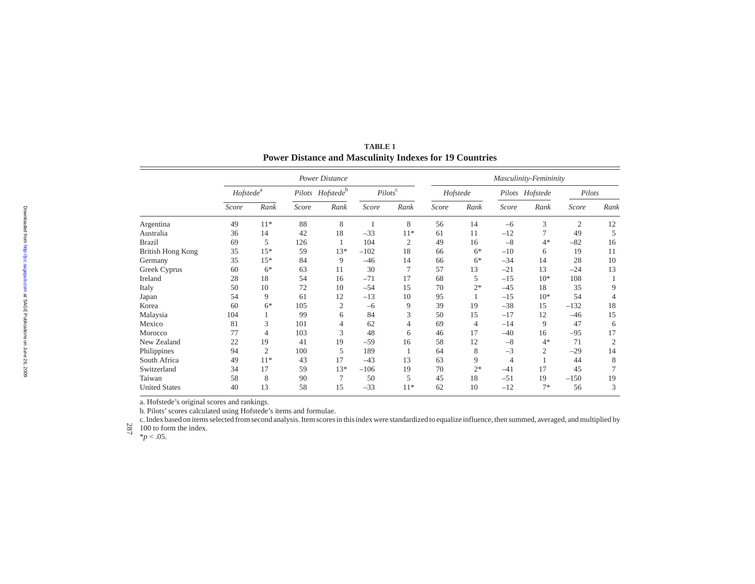|                      | Power Distance        |                |                      |                |            |                | Masculinity-Femininity |      |                 |       |                |                |
|----------------------|-----------------------|----------------|----------------------|----------------|------------|----------------|------------------------|------|-----------------|-------|----------------|----------------|
|                      | Hofstede <sup>a</sup> |                | $Pilots$ $Hofstedeb$ |                | $Pilots^c$ |                | Hofstede               |      | Pilots Hofstede |       | Pilots         |                |
|                      | Score                 | Rank           | $Score$              | Rank           | Score      | Rank           | Score                  | Rank | Score           | Rank  | Score          | Rank           |
| Argentina            | 49                    | $11*$          | 88                   | 8              |            | 8              | 56                     | 14   | $-6$            | 3     | $\overline{2}$ | 12             |
| Australia            | 36                    | 14             | 42                   | 18             | $-33$      | $11*$          | 61                     | 11   | $-12$           | 7     | 49             | 5              |
| <b>Brazil</b>        | 69                    | 5              | 126                  | 1              | 104        | $\mathfrak{2}$ | 49                     | 16   | $-8$            | $4*$  | $-82$          | 16             |
| British Hong Kong    | 35                    | $15*$          | 59                   | $13*$          | $-102$     | 18             | 66                     | $6*$ | $-10$           | 6     | 19             | 11             |
| Germany              | 35                    | $15*$          | 84                   | 9              | $-46$      | 14             | 66                     | $6*$ | $-34$           | 14    | 28             | 10             |
| Greek Cyprus         | 60                    | $6*$           | 63                   | 11             | 30         |                | 57                     | 13   | $-21$           | 13    | $-24$          | 13             |
| Ireland              | 28                    | 18             | 54                   | 16             | $-71$      | 17             | 68                     | 5    | $-15$           | $10*$ | 108            |                |
| Italy                | 50                    | 10             | 72                   | 10             | $-54$      | 15             | 70                     | $2*$ | $-45$           | 18    | 35             | 9              |
| Japan                | 54                    | 9              | 61                   | 12             | $-13$      | 10             | 95                     |      | $-15$           | $10*$ | 54             | 4              |
| Korea                | 60                    | $6*$           | 105                  | $\overline{2}$ | $-6$       | 9              | 39                     | 19   | $-38$           | 15    | $-132$         | 18             |
| Malaysia             | 104                   |                | 99                   | 6              | 84         | 3              | 50                     | 15   | $-17$           | 12    | $-46$          | 15             |
| Mexico               | 81                    | 3              | 101                  | $\overline{4}$ | 62         | $\overline{4}$ | 69                     | 4    | $-14$           | 9     | 47             | 6              |
| Morocco              | 77                    | 4              | 103                  | 3              | 48         | 6              | 46                     | 17   | $-40$           | 16    | $-95$          | 17             |
| New Zealand          | 22                    | 19             | 41                   | 19             | $-59$      | 16             | 58                     | 12   | $-8$            | $4*$  | 71             | $\overline{2}$ |
| Philippines          | 94                    | $\overline{2}$ | 100                  | 5              | 189        |                | 64                     | 8    | $-3$            | 2     | $-29$          | 14             |
| South Africa         | 49                    | $11*$          | 43                   | 17             | $-43$      | 13             | 63                     | 9    | 4               |       | 44             | 8              |
| Switzerland          | 34                    | 17             | 59                   | $13*$          | $-106$     | 19             | 70                     | $2*$ | $-41$           | 17    | 45             |                |
| Taiwan               | 58                    | 8              | 90                   | 7              | 50         | 5              | 45                     | 18   | $-51$           | 19    | $-150$         | 19             |
| <b>United States</b> | 40                    | 13             | 58                   | 15             | $-33$      | $11*$          | 62                     | 10   | $-12$           | $7*$  | 56             | 3              |

**TABLE 1 Power Distance and Masculinity Indexes for 19 Countries**

a. Hofstede's original scores and rankings.

b. Pilots' scores calculated using Hofstede's items and formulae.

c. Index based on items selected from second analysis. Item scores in this index were standardized to equalize influence, then summed, averaged, and multiplied by

 $\frac{1}{28}$  100 to form the index.

 $*$ *p* < .05.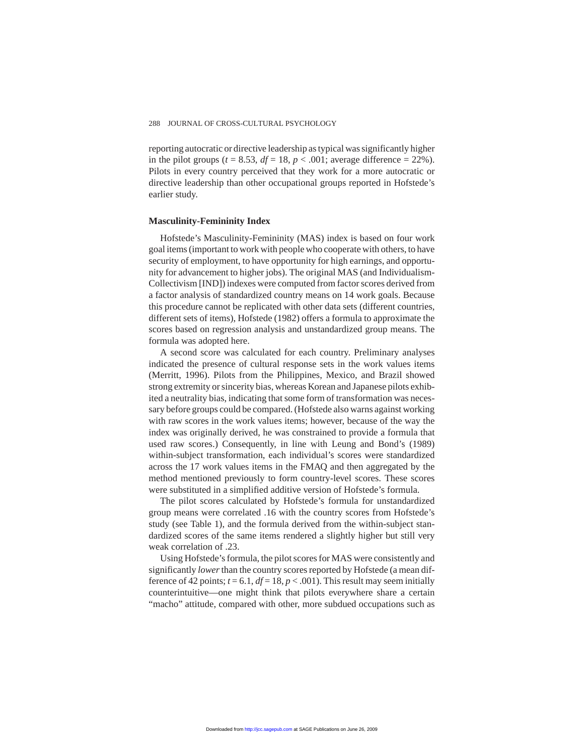reporting autocratic or directive leadership as typical was significantly higher in the pilot groups ( $t = 8.53$ ,  $df = 18$ ,  $p < .001$ ; average difference = 22%). Pilots in every country perceived that they work for a more autocratic or directive leadership than other occupational groups reported in Hofstede's earlier study.

#### **Masculinity-Femininity Index**

Hofstede's Masculinity-Femininity (MAS) index is based on four work goal items (important to work with people who cooperate with others, to have security of employment, to have opportunity for high earnings, and opportunity for advancement to higher jobs). The original MAS (and Individualism-Collectivism [IND]) indexes were computed from factor scores derived from a factor analysis of standardized country means on 14 work goals. Because this procedure cannot be replicated with other data sets (different countries, different sets of items), Hofstede (1982) offers a formula to approximate the scores based on regression analysis and unstandardized group means. The formula was adopted here.

A second score was calculated for each country. Preliminary analyses indicated the presence of cultural response sets in the work values items (Merritt, 1996). Pilots from the Philippines, Mexico, and Brazil showed strong extremity or sincerity bias, whereas Korean and Japanese pilots exhibited a neutrality bias, indicating that some form of transformation was necessary before groups could be compared. (Hofstede also warns against working with raw scores in the work values items; however, because of the way the index was originally derived, he was constrained to provide a formula that used raw scores.) Consequently, in line with Leung and Bond's (1989) within-subject transformation, each individual's scores were standardized across the 17 work values items in the FMAQ and then aggregated by the method mentioned previously to form country-level scores. These scores were substituted in a simplified additive version of Hofstede's formula.

The pilot scores calculated by Hofstede's formula for unstandardized group means were correlated .16 with the country scores from Hofstede's study (see Table 1), and the formula derived from the within-subject standardized scores of the same items rendered a slightly higher but still very weak correlation of .23.

Using Hofstede's formula, the pilot scores for MAS were consistently and significantly *lower*than the country scores reported by Hofstede (a mean difference of 42 points;  $t = 6.1$ ,  $df = 18$ ,  $p < .001$ ). This result may seem initially counterintuitive—one might think that pilots everywhere share a certain "macho" attitude, compared with other, more subdued occupations such as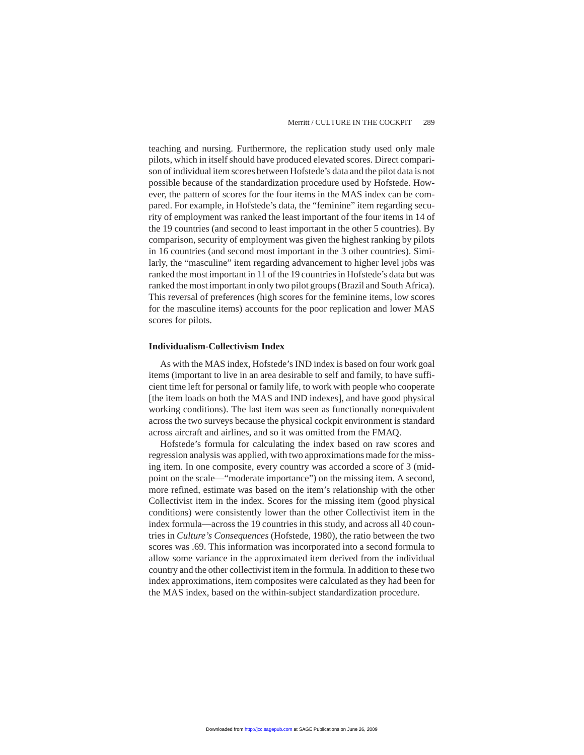teaching and nursing. Furthermore, the replication study used only male pilots, which in itself should have produced elevated scores. Direct comparison of individual item scores between Hofstede's data and the pilot data is not possible because of the standardization procedure used by Hofstede. However, the pattern of scores for the four items in the MAS index can be compared. For example, in Hofstede's data, the "feminine" item regarding security of employment was ranked the least important of the four items in 14 of the 19 countries (and second to least important in the other 5 countries). By comparison, security of employment was given the highest ranking by pilots in 16 countries (and second most important in the 3 other countries). Similarly, the "masculine" item regarding advancement to higher level jobs was ranked the most important in 11 of the 19 countries in Hofstede's data but was ranked the most important in only two pilot groups (Brazil and South Africa). This reversal of preferences (high scores for the feminine items, low scores for the masculine items) accounts for the poor replication and lower MAS scores for pilots.

# **Individualism-Collectivism Index**

As with the MAS index, Hofstede's IND index is based on four work goal items (important to live in an area desirable to self and family, to have sufficient time left for personal or family life, to work with people who cooperate [the item loads on both the MAS and IND indexes], and have good physical working conditions). The last item was seen as functionally nonequivalent across the two surveys because the physical cockpit environment is standard across aircraft and airlines, and so it was omitted from the FMAQ.

Hofstede's formula for calculating the index based on raw scores and regression analysis was applied, with two approximations made for the missing item. In one composite, every country was accorded a score of 3 (midpoint on the scale—"moderate importance") on the missing item. A second, more refined, estimate was based on the item's relationship with the other Collectivist item in the index. Scores for the missing item (good physical conditions) were consistently lower than the other Collectivist item in the index formula—across the 19 countries in this study, and across all 40 countries in *Culture's Consequences* (Hofstede, 1980), the ratio between the two scores was .69. This information was incorporated into a second formula to allow some variance in the approximated item derived from the individual country and the other collectivist item in the formula. In addition to these two index approximations, item composites were calculated as they had been for the MAS index, based on the within-subject standardization procedure.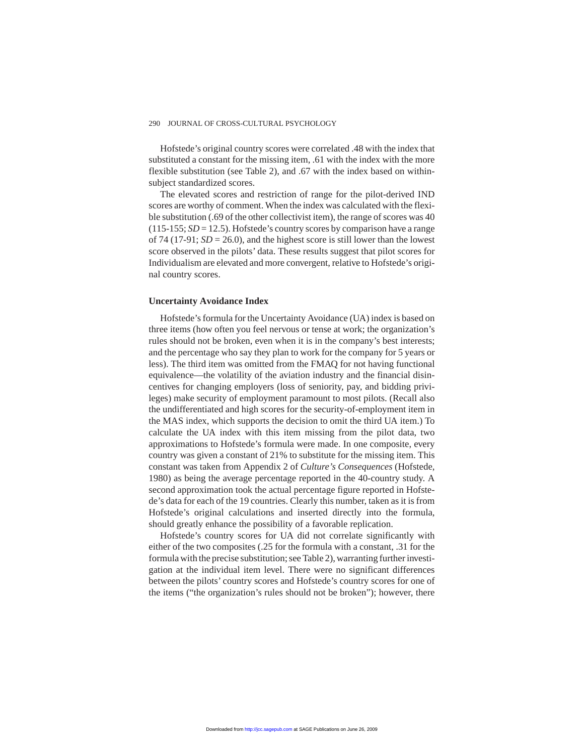Hofstede's original country scores were correlated .48 with the index that substituted a constant for the missing item, .61 with the index with the more flexible substitution (see Table 2), and .67 with the index based on withinsubject standardized scores.

The elevated scores and restriction of range for the pilot-derived IND scores are worthy of comment. When the index was calculated with the flexible substitution (.69 of the other collectivist item), the range of scores was 40  $(115-155; SD = 12.5)$ . Hofstede's country scores by comparison have a range of 74 (17-91;  $SD = 26.0$ ), and the highest score is still lower than the lowest score observed in the pilots' data. These results suggest that pilot scores for Individualism are elevated and more convergent, relative to Hofstede's original country scores.

#### **Uncertainty Avoidance Index**

Hofstede's formula for the Uncertainty Avoidance (UA) index is based on three items (how often you feel nervous or tense at work; the organization's rules should not be broken, even when it is in the company's best interests; and the percentage who say they plan to work for the company for 5 years or less). The third item was omitted from the FMAQ for not having functional equivalence—the volatility of the aviation industry and the financial disincentives for changing employers (loss of seniority, pay, and bidding privileges) make security of employment paramount to most pilots. (Recall also the undifferentiated and high scores for the security-of-employment item in the MAS index, which supports the decision to omit the third UA item.) To calculate the UA index with this item missing from the pilot data, two approximations to Hofstede's formula were made. In one composite, every country was given a constant of 21% to substitute for the missing item. This constant was taken from Appendix 2 of *Culture's Consequences* (Hofstede, 1980) as being the average percentage reported in the 40-country study. A second approximation took the actual percentage figure reported in Hofstede's data for each of the 19 countries. Clearly this number, taken as it is from Hofstede's original calculations and inserted directly into the formula, should greatly enhance the possibility of a favorable replication.

Hofstede's country scores for UA did not correlate significantly with either of the two composites (.25 for the formula with a constant, .31 for the formula with the precise substitution; see Table 2), warranting further investigation at the individual item level. There were no significant differences between the pilots' country scores and Hofstede's country scores for one of the items ("the organization's rules should not be broken"); however, there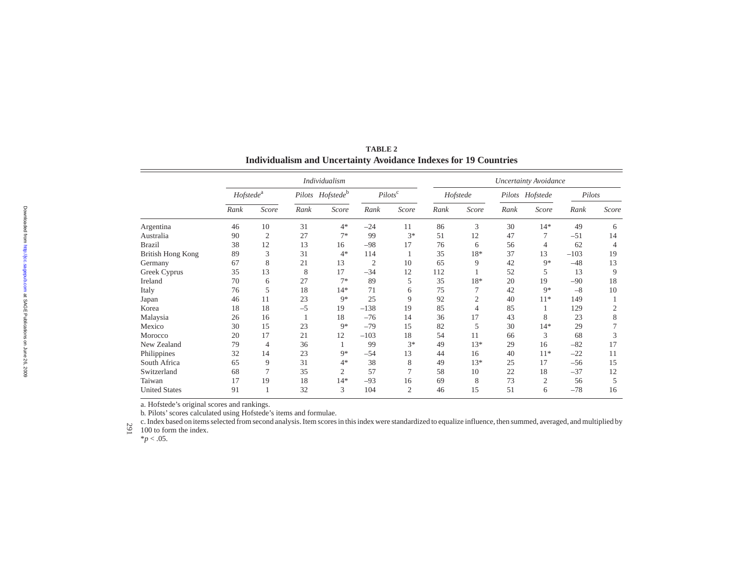|                      | Individualism             |                |                              |                |                     |                | <b>Uncertainty Avoidance</b> |                |                 |                |        |       |
|----------------------|---------------------------|----------------|------------------------------|----------------|---------------------|----------------|------------------------------|----------------|-----------------|----------------|--------|-------|
|                      | $H\!o\!f\!ste de^{\rm a}$ |                | Pilots Hofstede <sup>b</sup> |                | Pilots <sup>c</sup> |                | Hofstede                     |                | Pilots Hofstede |                | Pilots |       |
|                      | Rank                      | Score          | Rank                         | Score          | Rank                | Score          | Rank                         | Score          | Rank            | Score          | Rank   | Score |
| Argentina            | 46                        | 10             | 31                           | $4*$           | $-24$               | 11             | 86                           | 3              | 30              | $14*$          | 49     | 6     |
| Australia            | 90                        | $\mathfrak{2}$ | 27                           | $7*$           | 99                  | $3*$           | 51                           | 12             | 47              | 7              | $-51$  | 14    |
| <b>Brazil</b>        | 38                        | 12             | 13                           | 16             | $-98$               | 17             | 76                           | 6              | 56              | 4              | 62     | 4     |
| British Hong Kong    | 89                        | 3              | 31                           | $4*$           | 114                 |                | 35                           | 18*            | 37              | 13             | $-103$ | 19    |
| Germany              | 67                        | 8              | 21                           | 13             | $\overline{2}$      | 10             | 65                           | 9              | 42              | $9*$           | $-48$  | 13    |
| Greek Cyprus         | 35                        | 13             | 8                            | 17             | $-34$               | 12             | 112                          |                | 52              | 5              | 13     | 9     |
| Ireland              | 70                        | 6              | 27                           | $7*$           | 89                  | 5              | 35                           | 18*            | 20              | 19             | $-90$  | 18    |
| Italy                | 76                        | 5              | 18                           | $14*$          | 71                  | 6              | 75                           | 7              | 42              | $9*$           | $-8$   | 10    |
| Japan                | 46                        | 11             | 23                           | 9*             | 25                  | 9              | 92                           | $\overline{2}$ | 40              | $11*$          | 149    |       |
| Korea                | 18                        | 18             | $-5$                         | 19             | $-138$              | 19             | 85                           | 4              | 85              | 1              | 129    | 2     |
| Malaysia             | 26                        | 16             |                              | 18             | $-76$               | 14             | 36                           | 17             | 43              | 8              | 23     | 8     |
| Mexico               | 30                        | 15             | 23                           | $9*$           | $-79$               | 15             | 82                           | 5              | 30              | $14*$          | 29     |       |
| Morocco              | 20                        | 17             | 21                           | 12             | $-103$              | 18             | 54                           | 11             | 66              | 3              | 68     | 3     |
| New Zealand          | 79                        | $\overline{4}$ | 36                           |                | 99                  | $3*$           | 49                           | $13*$          | 29              | 16             | $-82$  | 17    |
| Philippines          | 32                        | 14             | 23                           | $9*$           | $-54$               | 13             | 44                           | 16             | 40              | $11*$          | $-22$  | 11    |
| South Africa         | 65                        | 9              | 31                           | $4*$           | 38                  | 8              | 49                           | $13*$          | 25              | 17             | $-56$  | 15    |
| Switzerland          | 68                        | 7              | 35                           | $\overline{2}$ | 57                  | $\overline{7}$ | 58                           | 10             | 22              | 18             | $-37$  | 12    |
| Taiwan               | 17                        | 19             | 18                           | $14*$          | $-93$               | 16             | 69                           | 8              | 73              | $\overline{c}$ | 56     | 5     |
| <b>United States</b> | 91                        |                | 32                           | 3              | 104                 | $\overline{2}$ | 46                           | 15             | 51              | 6              | $-78$  | 16    |

**TABLE 2Individualism and Uncertainty Avoidance Indexes for 19 Countries**

a. Hofstede's original scores and rankings.

b. Pilots' scores calculated using Hofstede's items and formulae.

c. Index based on items selected from second analysis. Item scores in this index were standardized to equalize influence, then summed, averaged, and multiplied by 100 to form the index.

291

 $*$ *p* < .05.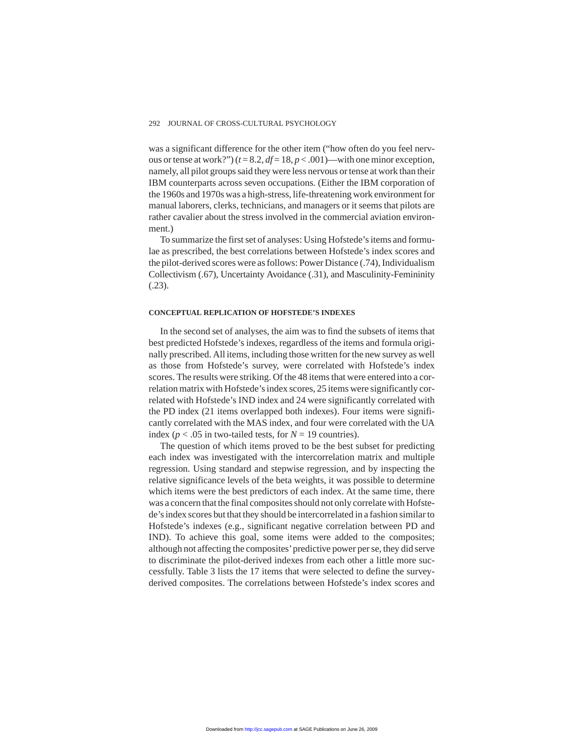was a significant difference for the other item ("how often do you feel nervous or tense at work?")  $(t = 8.2, df = 18, p < .001)$ —with one minor exception, namely, all pilot groups said they were less nervous or tense at work than their IBM counterparts across seven occupations. (Either the IBM corporation of the 1960s and 1970s was a high-stress, life-threatening work environment for manual laborers, clerks, technicians, and managers or it seems that pilots are rather cavalier about the stress involved in the commercial aviation environment.)

To summarize the first set of analyses: Using Hofstede's items and formulae as prescribed, the best correlations between Hofstede's index scores and the pilot-derived scores were as follows: Power Distance (.74), Individualism Collectivism (.67), Uncertainty Avoidance (.31), and Masculinity-Femininity (.23).

#### **CONCEPTUAL REPLICATION OF HOFSTEDE'S INDEXES**

In the second set of analyses, the aim was to find the subsets of items that best predicted Hofstede's indexes, regardless of the items and formula originally prescribed. All items, including those written for the new survey as well as those from Hofstede's survey, were correlated with Hofstede's index scores. The results were striking. Of the 48 items that were entered into a correlation matrix with Hofstede's index scores, 25 items were significantly correlated with Hofstede's IND index and 24 were significantly correlated with the PD index (21 items overlapped both indexes). Four items were significantly correlated with the MAS index, and four were correlated with the UA index ( $p < .05$  in two-tailed tests, for  $N = 19$  countries).

The question of which items proved to be the best subset for predicting each index was investigated with the intercorrelation matrix and multiple regression. Using standard and stepwise regression, and by inspecting the relative significance levels of the beta weights, it was possible to determine which items were the best predictors of each index. At the same time, there was a concern that the final composites should not only correlate with Hofstede's index scores but that they should be intercorrelated in a fashion similar to Hofstede's indexes (e.g., significant negative correlation between PD and IND). To achieve this goal, some items were added to the composites; although not affecting the composites'predictive power per se, they did serve to discriminate the pilot-derived indexes from each other a little more successfully. Table 3 lists the 17 items that were selected to define the surveyderived composites. The correlations between Hofstede's index scores and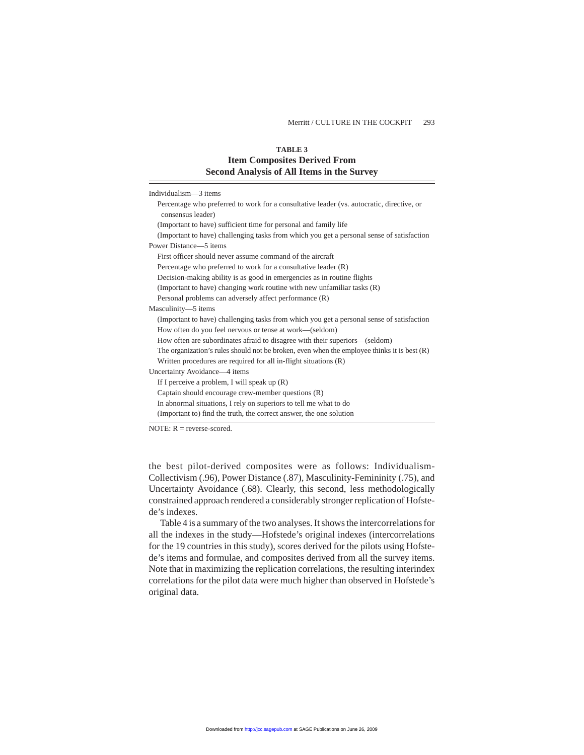# **TABLE 3 Item Composites Derived From Second Analysis of All Items in the Survey**

| Individualism—3 items                                                                                          |
|----------------------------------------------------------------------------------------------------------------|
| Percentage who preferred to work for a consultative leader (vs. autocratic, directive, or<br>consensus leader) |
| (Important to have) sufficient time for personal and family life                                               |
| (Important to have) challenging tasks from which you get a personal sense of satisfaction                      |
| Power Distance—5 items                                                                                         |
| First officer should never assume command of the aircraft                                                      |
| Percentage who preferred to work for a consultative leader $(R)$                                               |
| Decision-making ability is as good in emergencies as in routine flights                                        |
| (Important to have) changing work routine with new unfamiliar tasks $(R)$                                      |
| Personal problems can adversely affect performance (R)                                                         |
| Masculinity-5 items                                                                                            |
| (Important to have) challenging tasks from which you get a personal sense of satisfaction                      |
| How often do you feel nervous or tense at work—(seldom)                                                        |
| How often are subordinates afraid to disagree with their superiors—(seldom)                                    |
| The organization's rules should not be broken, even when the employee thinks it is best $(R)$                  |
| Written procedures are required for all in-flight situations (R)                                               |
| Uncertainty Avoidance—4 items                                                                                  |
| If I perceive a problem, I will speak up $(R)$                                                                 |
| Captain should encourage crew-member questions (R)                                                             |
| In abnormal situations, I rely on superiors to tell me what to do                                              |
| (Important to) find the truth, the correct answer, the one solution                                            |

NOTE:  $R$  = reverse-scored.

the best pilot-derived composites were as follows: Individualism-Collectivism (.96), Power Distance (.87), Masculinity-Femininity (.75), and Uncertainty Avoidance (.68). Clearly, this second, less methodologically constrained approach rendered a considerably stronger replication of Hofstede's indexes.

Table 4 is a summary of the two analyses. It shows the intercorrelations for all the indexes in the study—Hofstede's original indexes (intercorrelations for the 19 countries in this study), scores derived for the pilots using Hofstede's items and formulae, and composites derived from all the survey items. Note that in maximizing the replication correlations, the resulting interindex correlations for the pilot data were much higher than observed in Hofstede's original data.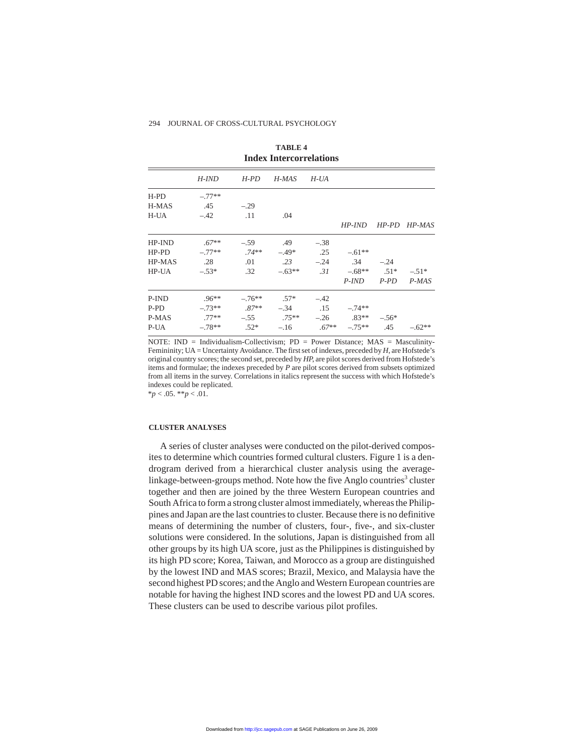| <b>Index Intercorrelations</b> |          |                 |                                  |               |                     |               |          |  |  |  |  |
|--------------------------------|----------|-----------------|----------------------------------|---------------|---------------------|---------------|----------|--|--|--|--|
|                                | H-IND    | $H$ - $PD$      | H-MAS                            | H-UA          |                     |               |          |  |  |  |  |
| H-PD                           | $-.77**$ |                 |                                  |               |                     |               |          |  |  |  |  |
| H-MAS                          | .45      | $-.29$          |                                  |               |                     |               |          |  |  |  |  |
| H-UA                           | $-.42$   | $\overline{11}$ | .04                              |               |                     |               |          |  |  |  |  |
|                                |          |                 |                                  |               | HP-IND HP-PD HP-MAS |               |          |  |  |  |  |
| HP-IND                         | $.67**$  | $-.59$          | .49                              | $-.38$        |                     |               |          |  |  |  |  |
| HP-PD                          | $-.77**$ |                 | $.74***$ $-.49*$ $.25$ $-.61***$ |               |                     |               |          |  |  |  |  |
| HP-MAS                         | .28      |                 | $.01 \t  .23$                    |               | $-.24$ .34          | $-.24$        |          |  |  |  |  |
| HP-UA                          | $-.53*$  | .32             | $-.63**$                         | .31           |                     | $-.68**$ .51* | $-.51*$  |  |  |  |  |
|                                |          |                 |                                  |               | P-IND               | P-PD          | P-MAS    |  |  |  |  |
| P-IND                          | $.96**$  |                 | $-.76**$ .57*                    | $-.42$        |                     |               |          |  |  |  |  |
| P-PD                           |          | $-.73**$ .87**  | $-.34$                           | $.15 - .74**$ |                     |               |          |  |  |  |  |
| P-MAS                          | $.77***$ |                 | $-.55$ .75**                     |               | $-.26$ .83**        | $-.56*$       |          |  |  |  |  |
| P-UA                           | $-.78**$ | $.52*$          | $-.16$                           | $.67**$       | $-.75**$            | .45           | $-.62**$ |  |  |  |  |

**TABLE 4**

NOTE: IND = Individualism-Collectivism; PD = Power Distance; MAS = Masculinity-Femininity; UA = Uncertainty Avoidance. The first set of indexes, preceded by *H*, are Hofstede's original country scores; the second set, preceded by *HP*, are pilot scores derived from Hofstede's items and formulae; the indexes preceded by *P* are pilot scores derived from subsets optimized from all items in the survey. Correlations in italics represent the success with which Hofstede's indexes could be replicated.

\**p* < .05. \*\**p* < .01.

#### **CLUSTER ANALYSES**

A series of cluster analyses were conducted on the pilot-derived composites to determine which countries formed cultural clusters. Figure 1 is a dendrogram derived from a hierarchical cluster analysis using the averagelinkage-between-groups method. Note how the five Anglo countries<sup>3</sup> cluster together and then are joined by the three Western European countries and South Africa to form a strong cluster almost immediately, whereas the Philippines and Japan are the last countries to cluster. Because there is no definitive means of determining the number of clusters, four-, five-, and six-cluster solutions were considered. In the solutions, Japan is distinguished from all other groups by its high UA score, just as the Philippines is distinguished by its high PD score; Korea, Taiwan, and Morocco as a group are distinguished by the lowest IND and MAS scores; Brazil, Mexico, and Malaysia have the second highest PD scores; and the Anglo and Western European countries are notable for having the highest IND scores and the lowest PD and UA scores. These clusters can be used to describe various pilot profiles.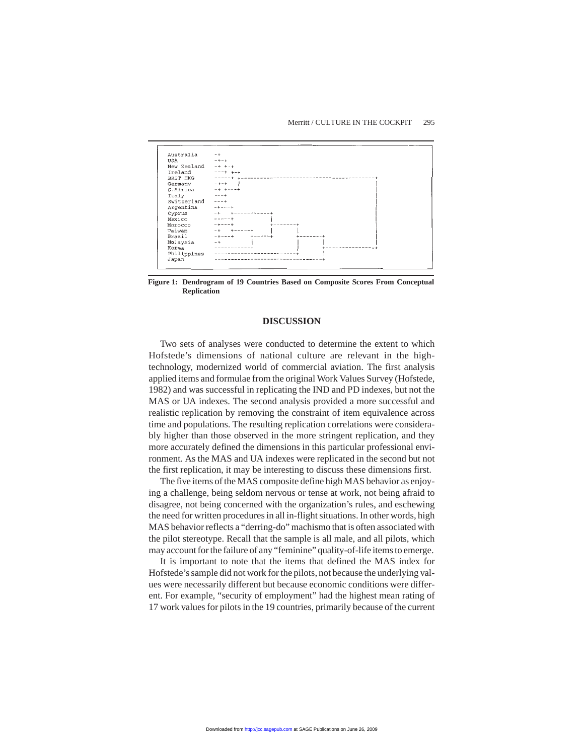

**Figure 1: Dendrogram of 19 Countries Based on Composite Scores From Conceptual Replication**

# **DISCUSSION**

Two sets of analyses were conducted to determine the extent to which Hofstede's dimensions of national culture are relevant in the hightechnology, modernized world of commercial aviation. The first analysis applied items and formulae from the original Work Values Survey (Hofstede, 1982) and was successful in replicating the IND and PD indexes, but not the MAS or UA indexes. The second analysis provided a more successful and realistic replication by removing the constraint of item equivalence across time and populations. The resulting replication correlations were considerably higher than those observed in the more stringent replication, and they more accurately defined the dimensions in this particular professional environment. As the MAS and UA indexes were replicated in the second but not the first replication, it may be interesting to discuss these dimensions first.

The five items of the MAS composite define high MAS behavior as enjoying a challenge, being seldom nervous or tense at work, not being afraid to disagree, not being concerned with the organization's rules, and eschewing the need for written procedures in all in-flight situations. In other words, high MAS behavior reflects a "derring-do" machismo that is often associated with the pilot stereotype. Recall that the sample is all male, and all pilots, which may account for the failure of any "feminine" quality-of-life items to emerge.

It is important to note that the items that defined the MAS index for Hofstede's sample did not work for the pilots, not because the underlying values were necessarily different but because economic conditions were different. For example, "security of employment" had the highest mean rating of 17 work values for pilots in the 19 countries, primarily because of the current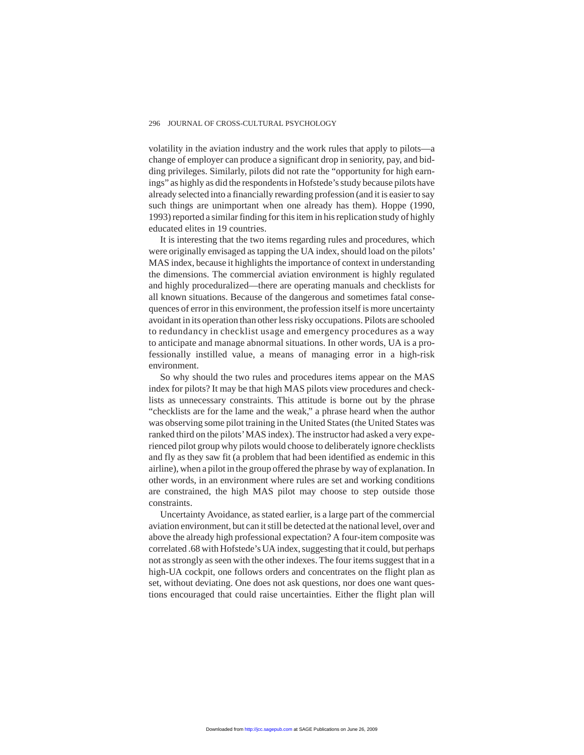volatility in the aviation industry and the work rules that apply to pilots—a change of employer can produce a significant drop in seniority, pay, and bidding privileges. Similarly, pilots did not rate the "opportunity for high earnings" as highly as did the respondents in Hofstede's study because pilots have already selected into a financially rewarding profession (and it is easier to say such things are unimportant when one already has them). Hoppe (1990, 1993) reported a similar finding for this item in his replication study of highly educated elites in 19 countries.

It is interesting that the two items regarding rules and procedures, which were originally envisaged as tapping the UA index, should load on the pilots' MAS index, because it highlights the importance of context in understanding the dimensions. The commercial aviation environment is highly regulated and highly proceduralized—there are operating manuals and checklists for all known situations. Because of the dangerous and sometimes fatal consequences of error in this environment, the profession itself is more uncertainty avoidant in its operation than other less risky occupations. Pilots are schooled to redundancy in checklist usage and emergency procedures as a way to anticipate and manage abnormal situations. In other words, UA is a professionally instilled value, a means of managing error in a high-risk environment.

So why should the two rules and procedures items appear on the MAS index for pilots? It may be that high MAS pilots view procedures and checklists as unnecessary constraints. This attitude is borne out by the phrase "checklists are for the lame and the weak," a phrase heard when the author was observing some pilot training in the United States (the United States was ranked third on the pilots'MAS index). The instructor had asked a very experienced pilot group why pilots would choose to deliberately ignore checklists and fly as they saw fit (a problem that had been identified as endemic in this airline), when a pilot in the group offered the phrase by way of explanation. In other words, in an environment where rules are set and working conditions are constrained, the high MAS pilot may choose to step outside those constraints.

Uncertainty Avoidance, as stated earlier, is a large part of the commercial aviation environment, but can it still be detected at the national level, over and above the already high professional expectation? A four-item composite was correlated .68 with Hofstede's UA index, suggesting that it could, but perhaps not as strongly as seen with the other indexes. The four items suggest that in a high-UA cockpit, one follows orders and concentrates on the flight plan as set, without deviating. One does not ask questions, nor does one want questions encouraged that could raise uncertainties. Either the flight plan will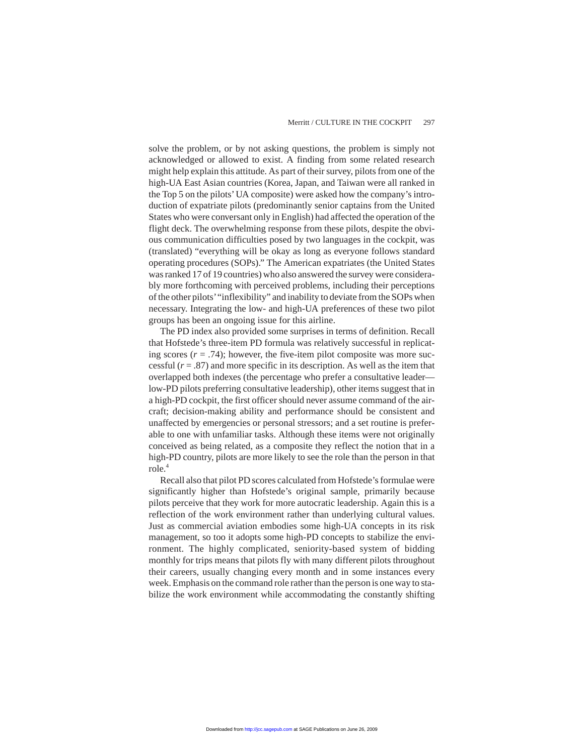solve the problem, or by not asking questions, the problem is simply not acknowledged or allowed to exist. A finding from some related research might help explain this attitude. As part of their survey, pilots from one of the high-UA East Asian countries (Korea, Japan, and Taiwan were all ranked in the Top 5 on the pilots'UA composite) were asked how the company's introduction of expatriate pilots (predominantly senior captains from the United States who were conversant only in English) had affected the operation of the flight deck. The overwhelming response from these pilots, despite the obvious communication difficulties posed by two languages in the cockpit, was (translated) "everything will be okay as long as everyone follows standard operating procedures (SOPs)." The American expatriates (the United States was ranked 17 of 19 countries) who also answered the survey were considerably more forthcoming with perceived problems, including their perceptions of the other pilots'"inflexibility" and inability to deviate from the SOPs when necessary. Integrating the low- and high-UA preferences of these two pilot groups has been an ongoing issue for this airline.

The PD index also provided some surprises in terms of definition. Recall that Hofstede's three-item PD formula was relatively successful in replicating scores  $(r = .74)$ ; however, the five-item pilot composite was more successful  $(r = .87)$  and more specific in its description. As well as the item that overlapped both indexes (the percentage who prefer a consultative leader low-PD pilots preferring consultative leadership), other items suggest that in a high-PD cockpit, the first officer should never assume command of the aircraft; decision-making ability and performance should be consistent and unaffected by emergencies or personal stressors; and a set routine is preferable to one with unfamiliar tasks. Although these items were not originally conceived as being related, as a composite they reflect the notion that in a high-PD country, pilots are more likely to see the role than the person in that role.4

Recall also that pilot PD scores calculated from Hofstede's formulae were significantly higher than Hofstede's original sample, primarily because pilots perceive that they work for more autocratic leadership. Again this is a reflection of the work environment rather than underlying cultural values. Just as commercial aviation embodies some high-UA concepts in its risk management, so too it adopts some high-PD concepts to stabilize the environment. The highly complicated, seniority-based system of bidding monthly for trips means that pilots fly with many different pilots throughout their careers, usually changing every month and in some instances every week. Emphasis on the command role rather than the person is one way to stabilize the work environment while accommodating the constantly shifting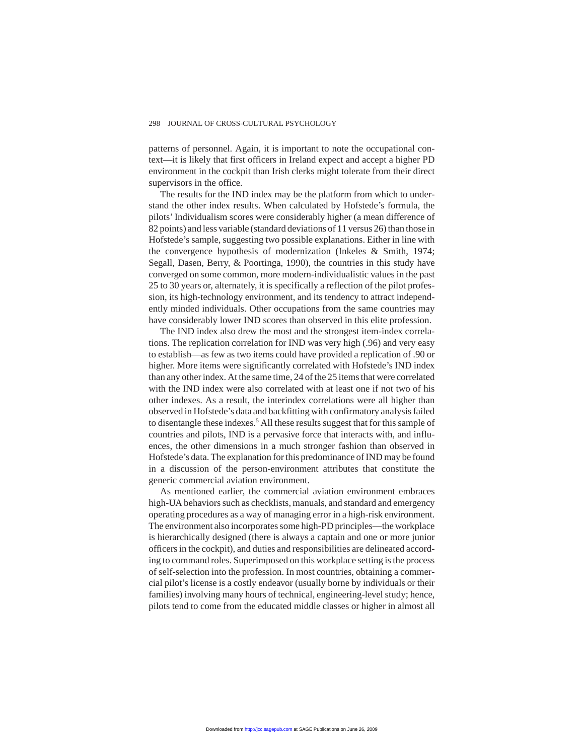patterns of personnel. Again, it is important to note the occupational context—it is likely that first officers in Ireland expect and accept a higher PD environment in the cockpit than Irish clerks might tolerate from their direct supervisors in the office.

The results for the IND index may be the platform from which to understand the other index results. When calculated by Hofstede's formula, the pilots' Individualism scores were considerably higher (a mean difference of 82 points) and less variable (standard deviations of 11 versus 26) than those in Hofstede's sample, suggesting two possible explanations. Either in line with the convergence hypothesis of modernization (Inkeles & Smith, 1974; Segall, Dasen, Berry, & Poortinga, 1990), the countries in this study have converged on some common, more modern-individualistic values in the past 25 to 30 years or, alternately, it is specifically a reflection of the pilot profession, its high-technology environment, and its tendency to attract independently minded individuals. Other occupations from the same countries may have considerably lower IND scores than observed in this elite profession.

The IND index also drew the most and the strongest item-index correlations. The replication correlation for IND was very high (.96) and very easy to establish—as few as two items could have provided a replication of .90 or higher. More items were significantly correlated with Hofstede's IND index than any other index. At the same time, 24 of the 25 items that were correlated with the IND index were also correlated with at least one if not two of his other indexes. As a result, the interindex correlations were all higher than observed in Hofstede's data and backfitting with confirmatory analysis failed to disentangle these indexes.<sup>5</sup> All these results suggest that for this sample of countries and pilots, IND is a pervasive force that interacts with, and influences, the other dimensions in a much stronger fashion than observed in Hofstede's data. The explanation for this predominance of IND may be found in a discussion of the person-environment attributes that constitute the generic commercial aviation environment.

As mentioned earlier, the commercial aviation environment embraces high-UA behaviors such as checklists, manuals, and standard and emergency operating procedures as a way of managing error in a high-risk environment. The environment also incorporates some high-PD principles—the workplace is hierarchically designed (there is always a captain and one or more junior officers in the cockpit), and duties and responsibilities are delineated according to command roles. Superimposed on this workplace setting is the process of self-selection into the profession. In most countries, obtaining a commercial pilot's license is a costly endeavor (usually borne by individuals or their families) involving many hours of technical, engineering-level study; hence, pilots tend to come from the educated middle classes or higher in almost all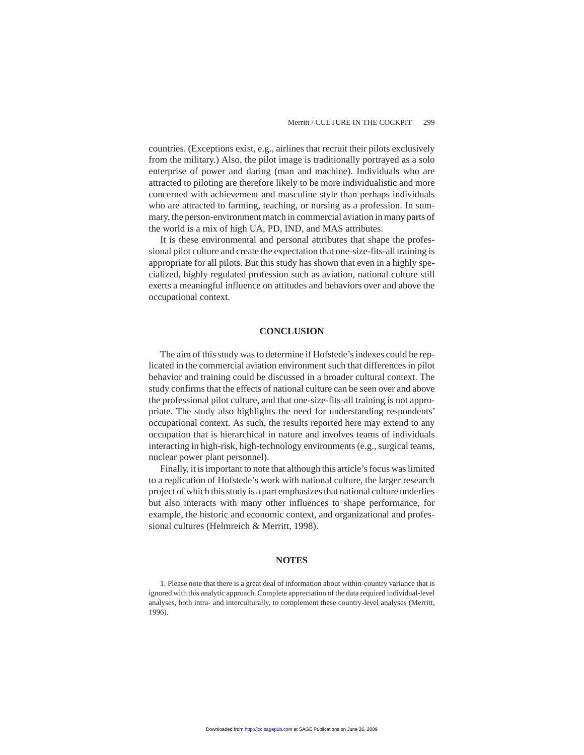countries. (Exceptions exist, e.g., airlines that recruit their pilots exclusively from the military.) Also, the pilot image is traditionally portrayed as a solo enterprise of power and daring (man and machine). Individuals who are attracted to piloting are therefore likely to be more individualistic and more concerned with achievement and masculine style than perhaps individuals who are attracted to farming, teaching, or nursing as a profession. In summary, the person-environment match in commercial aviation in many parts of the world is a mix of high UA, PD, IND, and MAS attributes.

It is these environmental and personal attributes that shape the professional pilot culture and create the expectation that one-size-fits-all training is appropriate for all pilots. But this study has shown that even in a highly specialized, highly regulated profession such as aviation, national culture still exerts a meaningful influence on attitudes and behaviors over and above the occupational context.

# **CONCLUSION**

The aim of this study was to determine if Hofstede's indexes could be replicated in the commercial aviation environment such that differences in pilot behavior and training could be discussed in a broader cultural context. The study confirms that the effects of national culture can be seen over and above the professional pilot culture, and that one-size-fits-all training is not appropriate. The study also highlights the need for understanding respondents' occupational context. As such, the results reported here may extend to any occupation that is hierarchical in nature and involves teams of individuals interacting in high-risk, high-technology environments (e.g., surgical teams, nuclear power plant personnel).

Finally, it is important to note that although this article's focus was limited to a replication of Hofstede's work with national culture, the larger research project of which this study is a part emphasizes that national culture underlies but also interacts with many other influences to shape performance, for example, the historic and economic context, and organizational and professional cultures (Helmreich & Merritt, 1998).

#### **NOTES**

1. Please note that there is a great deal of information about within-country variance that is ignored with this analytic approach. Complete appreciation of the data required individual-level analyses, both intra- and interculturally, to complement these country-level analyses (Merritt, 1996).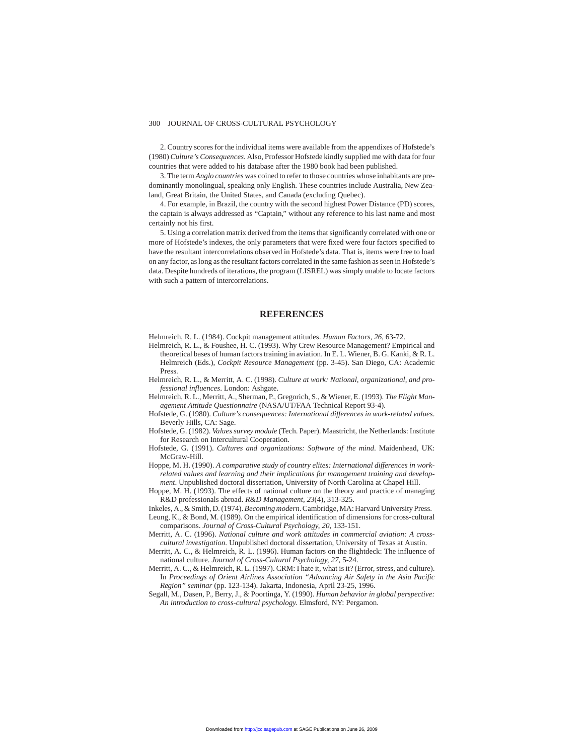2. Country scores for the individual items were available from the appendixes of Hofstede's (1980) *Culture's Consequences*. Also, Professor Hofstede kindly supplied me with data for four countries that were added to his database after the 1980 book had been published.

3. The term *Anglo countries* was coined to refer to those countries whose inhabitants are predominantly monolingual, speaking only English. These countries include Australia, New Zealand, Great Britain, the United States, and Canada (excluding Quebec).

4. For example, in Brazil, the country with the second highest Power Distance (PD) scores, the captain is always addressed as "Captain," without any reference to his last name and most certainly not his first.

5. Using a correlation matrix derived from the items that significantly correlated with one or more of Hofstede's indexes, the only parameters that were fixed were four factors specified to have the resultant intercorrelations observed in Hofstede's data. That is, items were free to load on any factor, as long as the resultant factors correlated in the same fashion as seen in Hofstede's data. Despite hundreds of iterations, the program (LISREL) was simply unable to locate factors with such a pattern of intercorrelations.

# **REFERENCES**

Helmreich, R. L. (1984). Cockpit management attitudes. *Human Factors*, *26*, 63-72.

- Helmreich, R. L., & Foushee, H. C. (1993). Why Crew Resource Management? Empirical and theoretical bases of human factors training in aviation. In E. L. Wiener, B. G. Kanki, & R. L. Helmreich (Eds.), *Cockpit Resource Management* (pp. 3-45). San Diego, CA: Academic Press.
- Helmreich, R. L., & Merritt, A. C. (1998). *Culture at work: National, organizational, and professional influences*. London: Ashgate.
- Helmreich, R. L., Merritt, A., Sherman, P., Gregorich, S., & Wiener, E. (1993). *The Flight Management Attitude Questionnaire* (NASA/UT/FAA Technical Report 93-4).
- Hofstede, G. (1980). *Culture's consequences: International differences in work-related values*. Beverly Hills, CA: Sage.
- Hofstede, G. (1982). *Values survey module* (Tech. Paper). Maastricht, the Netherlands: Institute for Research on Intercultural Cooperation.
- Hofstede, G. (1991). *Cultures and organizations: Software of the mind*. Maidenhead, UK: McGraw-Hill.
- Hoppe, M. H. (1990). *A comparative study of country elites: International differences in workrelated values and learning and their implications for management training and development*. Unpublished doctoral dissertation, University of North Carolina at Chapel Hill.

Hoppe, M. H. (1993). The effects of national culture on the theory and practice of managing R&D professionals abroad. *R&D Management*, *23*(4), 313-325.

Inkeles, A., & Smith, D. (1974).*Becoming modern*. Cambridge, MA: Harvard University Press.

- Leung, K., & Bond, M. (1989). On the empirical identification of dimensions for cross-cultural comparisons. *Journal of Cross-Cultural Psychology*, *20*, 133-151.
- Merritt, A. C. (1996). *National culture and work attitudes in commercial aviation: A crosscultural investigation*. Unpublished doctoral dissertation, University of Texas at Austin.
- Merritt, A. C., & Helmreich, R. L. (1996). Human factors on the flightdeck: The influence of national culture. *Journal of Cross-Cultural Psychology*, *27*, 5-24.
- Merritt, A. C., & Helmreich, R. L. (1997). CRM: I hate it, what is it? (Error, stress, and culture). In *Proceedings of Orient Airlines Association "Advancing Air Safety in the Asia Pacific Region" seminar* (pp. 123-134). Jakarta, Indonesia, April 23-25, 1996.
- Segall, M., Dasen, P., Berry, J., & Poortinga, Y. (1990). *Human behavior in global perspective: An introduction to cross-cultural psychology*. Elmsford, NY: Pergamon.